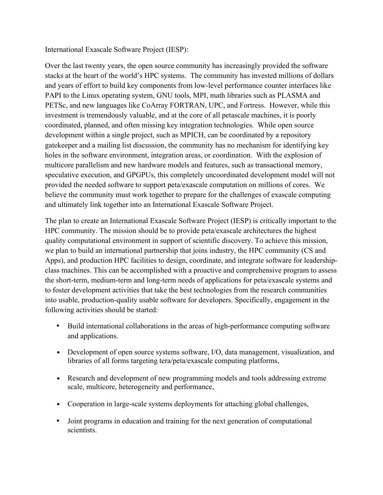## International Exascale Software Project (IESP):

Over the last twenty years, the open source community has increasingly provided the software stacks at the heart of the world's HPC systems. The community has invested millions of dollars and years of effort to build key components from low-level performance counter interfaces like PAPI to the Linux operating system, GNU tools, MPI, math libraries such as PLASMA and PETSc, and new languages like CoArray FORTRAN, UPC, and Fortress. However, while this investment is tremendously valuable, and at the core of all petascale machines, it is poorly coordinated, planned, and often missing key integration technologies. While open source development within a single project, such as MPICH, can be coordinated by a repository gatekeeper and a mailing list discussion, the community has no mechanism for identifying key holes in the software environment, integration areas, or coordination. With the explosion of multicore parallelism and new hardware models and features, such as transactional memory, speculative execution, and GPGPUs, this completely uncoordinated development model will not provided the needed software to support peta/exascale computation on millions of cores. We believe the community must work together to prepare for the challenges of exascale computing and ultimately link together into an International Exascale Software Project.

The plan to create an International Exascale Software Project (IESP) is critically important to the HPC community. The mission should be to provide peta/exascale architectures the highest quality computational environment in support of scientific discovery. To achieve this mission, we plan to build an international partnership that joins industry, the HPC community (CS and Apps), and production HPC facilities to design, coordinate, and integrate software for leadershipclass machines. This can be accomplished with a proactive and comprehensive program to assess the short-term, medium-term and long-term needs of applications for peta/exascale systems and to foster development activities that take the best technologies from the research communities into usable, production-quality usable software for developers. Specifically, engagement in the following activities should be started:

- Build international collaborations in the areas of high-performance computing software and applications.
- Development of open source systems software, I/O, data management, visualization, and libraries of all forms targeting tera/peta/exascale computing platforms,
- Research and development of new programming models and tools addressing extreme scale, multicore, heterogeneity and performance,
- Cooperation in large-scale systems deployments for attaching global challenges,
- Joint programs in education and training for the next generation of computational scientists.